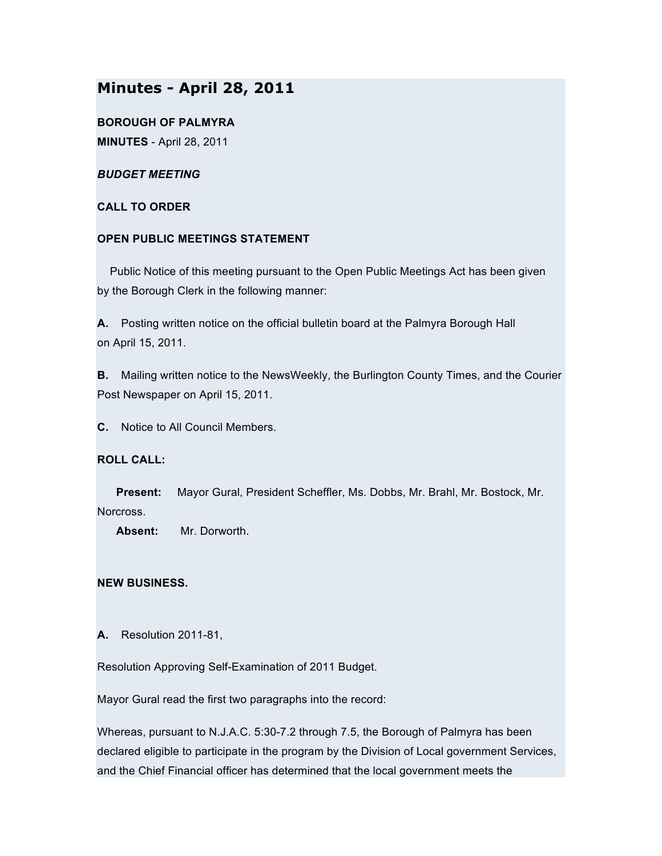# **Minutes - April 28, 2011**

**BOROUGH OF PALMYRA MINUTES** - April 28, 2011

# *BUDGET MEETING*

# **CALL TO ORDER**

# **OPEN PUBLIC MEETINGS STATEMENT**

Public Notice of this meeting pursuant to the Open Public Meetings Act has been given by the Borough Clerk in the following manner:

**A.** Posting written notice on the official bulletin board at the Palmyra Borough Hall on April 15, 2011.

**B.** Mailing written notice to the NewsWeekly, the Burlington County Times, and the Courier Post Newspaper on April 15, 2011.

**C.** Notice to All Council Members.

# **ROLL CALL:**

**Present:** Mayor Gural, President Scheffler, Ms. Dobbs, Mr. Brahl, Mr. Bostock, Mr. Norcross.

**Absent:** Mr. Dorworth.

# **NEW BUSINESS.**

**A.** Resolution 2011-81,

Resolution Approving Self-Examination of 2011 Budget.

Mayor Gural read the first two paragraphs into the record:

Whereas, pursuant to N.J.A.C. 5:30-7.2 through 7.5, the Borough of Palmyra has been declared eligible to participate in the program by the Division of Local government Services, and the Chief Financial officer has determined that the local government meets the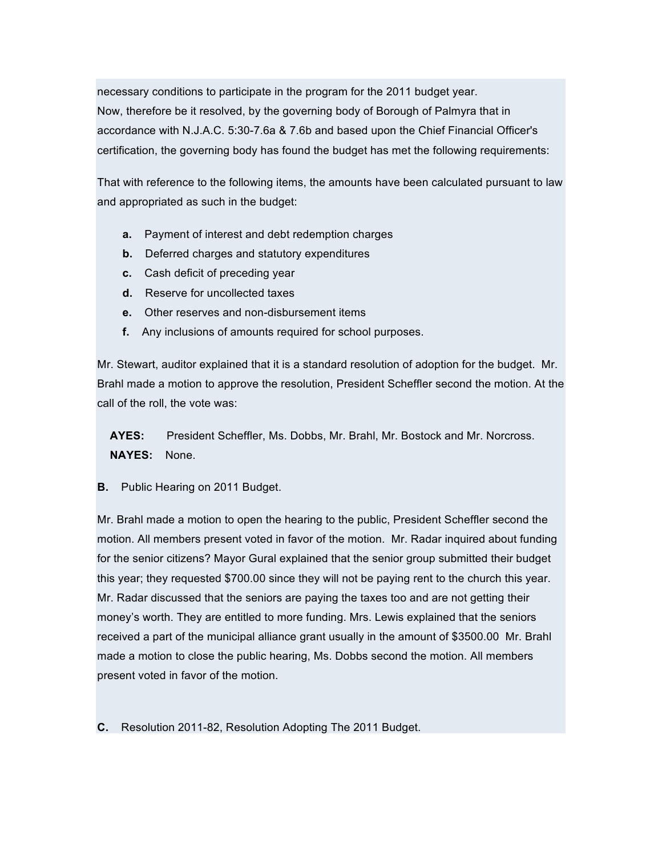necessary conditions to participate in the program for the 2011 budget year. Now, therefore be it resolved, by the governing body of Borough of Palmyra that in accordance with N.J.A.C. 5:30-7.6a & 7.6b and based upon the Chief Financial Officer's certification, the governing body has found the budget has met the following requirements:

That with reference to the following items, the amounts have been calculated pursuant to law and appropriated as such in the budget:

- **a.** Payment of interest and debt redemption charges
- **b.** Deferred charges and statutory expenditures
- **c.** Cash deficit of preceding year
- **d.** Reserve for uncollected taxes
- **e.** Other reserves and non-disbursement items
- **f.** Any inclusions of amounts required for school purposes.

Mr. Stewart, auditor explained that it is a standard resolution of adoption for the budget. Mr. Brahl made a motion to approve the resolution, President Scheffler second the motion. At the call of the roll, the vote was:

**AYES:** President Scheffler, Ms. Dobbs, Mr. Brahl, Mr. Bostock and Mr. Norcross. **NAYES:** None.

**B.** Public Hearing on 2011 Budget.

Mr. Brahl made a motion to open the hearing to the public, President Scheffler second the motion. All members present voted in favor of the motion. Mr. Radar inquired about funding for the senior citizens? Mayor Gural explained that the senior group submitted their budget this year; they requested \$700.00 since they will not be paying rent to the church this year. Mr. Radar discussed that the seniors are paying the taxes too and are not getting their money's worth. They are entitled to more funding. Mrs. Lewis explained that the seniors received a part of the municipal alliance grant usually in the amount of \$3500.00 Mr. Brahl made a motion to close the public hearing, Ms. Dobbs second the motion. All members present voted in favor of the motion.

**C.** Resolution 2011-82, Resolution Adopting The 2011 Budget.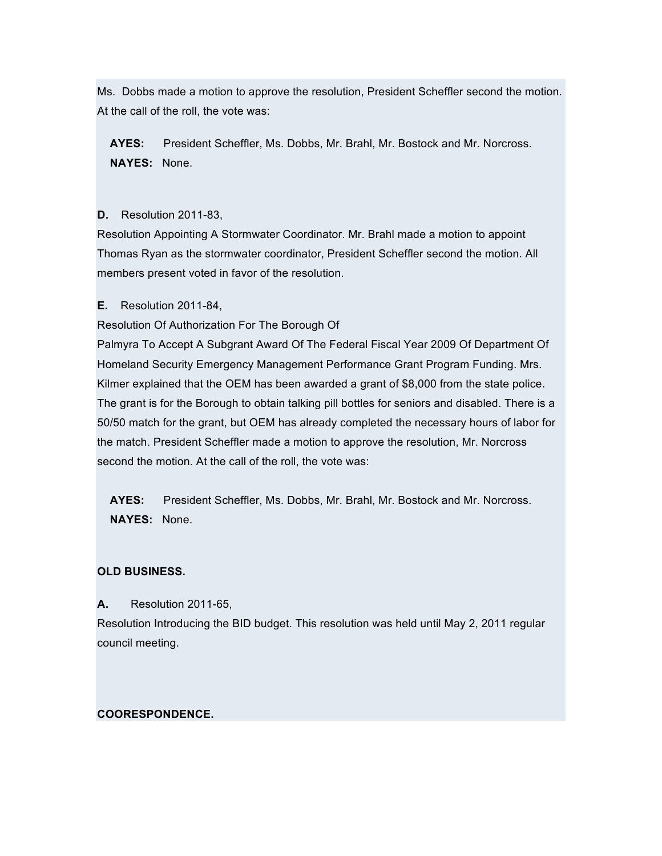Ms. Dobbs made a motion to approve the resolution, President Scheffler second the motion. At the call of the roll, the vote was:

**AYES:** President Scheffler, Ms. Dobbs, Mr. Brahl, Mr. Bostock and Mr. Norcross. **NAYES:** None.

# **D.** Resolution 2011-83,

Resolution Appointing A Stormwater Coordinator. Mr. Brahl made a motion to appoint Thomas Ryan as the stormwater coordinator, President Scheffler second the motion. All members present voted in favor of the resolution.

**E.** Resolution 2011-84,

Resolution Of Authorization For The Borough Of

Palmyra To Accept A Subgrant Award Of The Federal Fiscal Year 2009 Of Department Of Homeland Security Emergency Management Performance Grant Program Funding. Mrs. Kilmer explained that the OEM has been awarded a grant of \$8,000 from the state police. The grant is for the Borough to obtain talking pill bottles for seniors and disabled. There is a 50/50 match for the grant, but OEM has already completed the necessary hours of labor for the match. President Scheffler made a motion to approve the resolution, Mr. Norcross second the motion. At the call of the roll, the vote was:

**AYES:** President Scheffler, Ms. Dobbs, Mr. Brahl, Mr. Bostock and Mr. Norcross. **NAYES:** None.

# **OLD BUSINESS.**

# **A.** Resolution 2011-65,

Resolution Introducing the BID budget. This resolution was held until May 2, 2011 regular council meeting.

# **COORESPONDENCE.**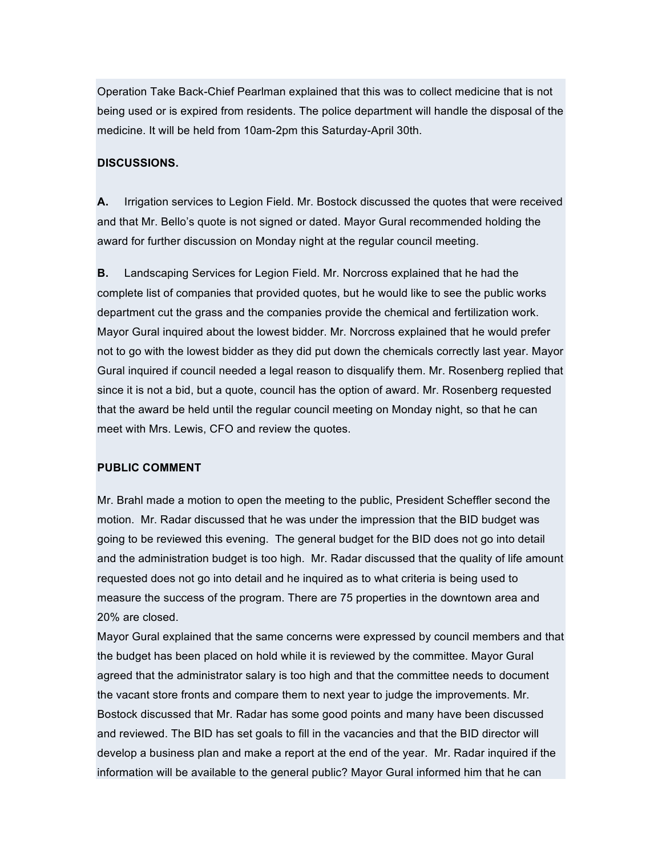Operation Take Back-Chief Pearlman explained that this was to collect medicine that is not being used or is expired from residents. The police department will handle the disposal of the medicine. It will be held from 10am-2pm this Saturday-April 30th.

# **DISCUSSIONS.**

**A.** Irrigation services to Legion Field. Mr. Bostock discussed the quotes that were received and that Mr. Bello's quote is not signed or dated. Mayor Gural recommended holding the award for further discussion on Monday night at the regular council meeting.

**B.** Landscaping Services for Legion Field. Mr. Norcross explained that he had the complete list of companies that provided quotes, but he would like to see the public works department cut the grass and the companies provide the chemical and fertilization work. Mayor Gural inquired about the lowest bidder. Mr. Norcross explained that he would prefer not to go with the lowest bidder as they did put down the chemicals correctly last year. Mayor Gural inquired if council needed a legal reason to disqualify them. Mr. Rosenberg replied that since it is not a bid, but a quote, council has the option of award. Mr. Rosenberg requested that the award be held until the regular council meeting on Monday night, so that he can meet with Mrs. Lewis, CFO and review the quotes.

#### **PUBLIC COMMENT**

Mr. Brahl made a motion to open the meeting to the public, President Scheffler second the motion. Mr. Radar discussed that he was under the impression that the BID budget was going to be reviewed this evening. The general budget for the BID does not go into detail and the administration budget is too high. Mr. Radar discussed that the quality of life amount requested does not go into detail and he inquired as to what criteria is being used to measure the success of the program. There are 75 properties in the downtown area and 20% are closed.

Mayor Gural explained that the same concerns were expressed by council members and that the budget has been placed on hold while it is reviewed by the committee. Mayor Gural agreed that the administrator salary is too high and that the committee needs to document the vacant store fronts and compare them to next year to judge the improvements. Mr. Bostock discussed that Mr. Radar has some good points and many have been discussed and reviewed. The BID has set goals to fill in the vacancies and that the BID director will develop a business plan and make a report at the end of the year. Mr. Radar inquired if the information will be available to the general public? Mayor Gural informed him that he can